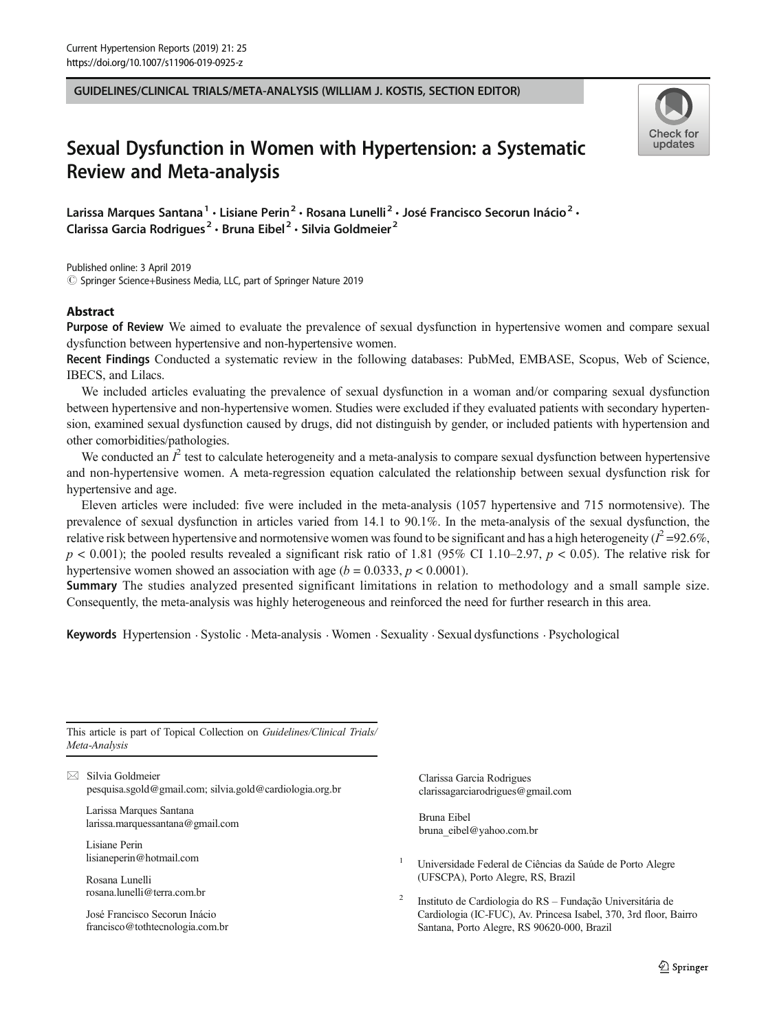GUIDELINES/CLINICAL TRIALS/META-ANALYSIS (WILLIAM J. KOSTIS, SECTION EDITOR)



# Sexual Dysfunction in Women with Hypertension: a Systematic Review and Meta-analysis

Larissa Marques Santana<sup>1</sup> · Lisiane Perin<sup>2</sup> · Rosana Lunelli<sup>2</sup> · José Francisco Secorun Inácio<sup>2</sup> · Clarissa Garcia Rodrigues<sup>2</sup> · Bruna Eibel<sup>2</sup> · Silvia Goldmeier<sup>2</sup>

Published online: 3 April 2019  $\copyright$  Springer Science+Business Media, LLC, part of Springer Nature 2019

#### Abstract

Purpose of Review We aimed to evaluate the prevalence of sexual dysfunction in hypertensive women and compare sexual dysfunction between hypertensive and non-hypertensive women.

Recent Findings Conducted a systematic review in the following databases: PubMed, EMBASE, Scopus, Web of Science, IBECS, and Lilacs.

We included articles evaluating the prevalence of sexual dysfunction in a woman and/or comparing sexual dysfunction between hypertensive and non-hypertensive women. Studies were excluded if they evaluated patients with secondary hypertension, examined sexual dysfunction caused by drugs, did not distinguish by gender, or included patients with hypertension and other comorbidities/pathologies.

We conducted an  $I^2$  test to calculate heterogeneity and a meta-analysis to compare sexual dysfunction between hypertensive and non-hypertensive women. A meta-regression equation calculated the relationship between sexual dysfunction risk for hypertensive and age.

Eleven articles were included: five were included in the meta-analysis (1057 hypertensive and 715 normotensive). The prevalence of sexual dysfunction in articles varied from 14.1 to 90.1%. In the meta-analysis of the sexual dysfunction, the relative risk between hypertensive and normotensive women was found to be significant and has a high heterogeneity ( $l^2$  =92.6%,  $p < 0.001$ ); the pooled results revealed a significant risk ratio of 1.81 (95% CI 1.10–2.97,  $p < 0.05$ ). The relative risk for hypertensive women showed an association with age ( $b = 0.0333$ ,  $p < 0.0001$ ).

Summary The studies analyzed presented significant limitations in relation to methodology and a small sample size. Consequently, the meta-analysis was highly heterogeneous and reinforced the need for further research in this area.

Keywords Hypertension . Systolic . Meta-analysis . Women . Sexuality . Sexual dysfunctions . Psychological

This article is part of Topical Collection on Guidelines/Clinical Trials/ Meta-Analysis

 $\boxtimes$  Silvia Goldmeier [pesquisa.sgold@gmail.com;](mailto:pesquisa.sgold@gmail.com) [silvia.gold@cardiologia.org.br](mailto:silvia.gold@cardiologia.org.br)

Larissa Marques Santana larissa.marquessantana@gmail.com

Lisiane Perin lisianeperin@hotmail.com

Rosana Lunelli rosana.lunelli@terra.com.br

José Francisco Secorun Inácio francisco@tothtecnologia.com.br

Clarissa Garcia Rodrigues clarissagarciarodrigues@gmail.com

Bruna Eibel bruna\_eibel@yahoo.com.br

- <sup>1</sup> Universidade Federal de Ciências da Saúde de Porto Alegre (UFSCPA), Porto Alegre, RS, Brazil
- <sup>2</sup> Instituto de Cardiologia do RS Fundação Universitária de Cardiologia (IC-FUC), Av. Princesa Isabel, 370, 3rd floor, Bairro Santana, Porto Alegre, RS 90620-000, Brazil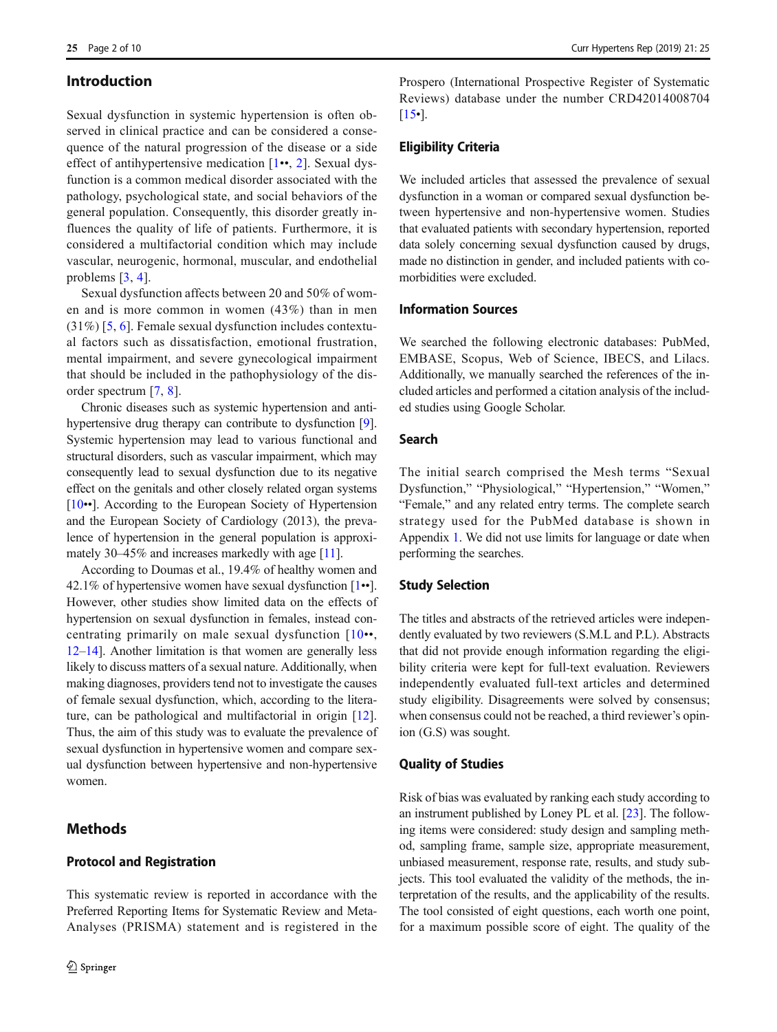#### Introduction

Sexual dysfunction in systemic hypertension is often observed in clinical practice and can be considered a consequence of the natural progression of the disease or a side effect of antihypertensive medication [\[1](#page-8-0)••, [2](#page-8-0)]. Sexual dysfunction is a common medical disorder associated with the pathology, psychological state, and social behaviors of the general population. Consequently, this disorder greatly influences the quality of life of patients. Furthermore, it is considered a multifactorial condition which may include vascular, neurogenic, hormonal, muscular, and endothelial problems [[3,](#page-8-0) [4](#page-8-0)].

Sexual dysfunction affects between 20 and 50% of women and is more common in women (43%) than in men (31%) [[5,](#page-8-0) [6\]](#page-8-0). Female sexual dysfunction includes contextual factors such as dissatisfaction, emotional frustration, mental impairment, and severe gynecological impairment that should be included in the pathophysiology of the disorder spectrum [[7](#page-8-0), [8](#page-8-0)].

Chronic diseases such as systemic hypertension and anti-hypertensive drug therapy can contribute to dysfunction [[9\]](#page-8-0). Systemic hypertension may lead to various functional and structural disorders, such as vascular impairment, which may consequently lead to sexual dysfunction due to its negative effect on the genitals and other closely related organ systems [\[10](#page-8-0)••]. According to the European Society of Hypertension and the European Society of Cardiology (2013), the prevalence of hypertension in the general population is approximately 30–45% and increases markedly with age [\[11\]](#page-9-0).

According to Doumas et al., 19.4% of healthy women and 42.1% of hypertensive women have sexual dysfunction [\[1](#page-8-0)••]. However, other studies show limited data on the effects of hypertension on sexual dysfunction in females, instead concentrating primarily on male sexual dysfunction [[10](#page-8-0)••, [12](#page-9-0)–[14](#page-9-0)]. Another limitation is that women are generally less likely to discuss matters of a sexual nature. Additionally, when making diagnoses, providers tend not to investigate the causes of female sexual dysfunction, which, according to the literature, can be pathological and multifactorial in origin [\[12](#page-9-0)]. Thus, the aim of this study was to evaluate the prevalence of sexual dysfunction in hypertensive women and compare sexual dysfunction between hypertensive and non-hypertensive women.

#### Methods

#### Protocol and Registration

This systematic review is reported in accordance with the Preferred Reporting Items for Systematic Review and Meta-Analyses (PRISMA) statement and is registered in the

Prospero (International Prospective Register of Systematic Reviews) database under the number CRD42014008704 [\[15](#page-9-0)•].

#### Eligibility Criteria

We included articles that assessed the prevalence of sexual dysfunction in a woman or compared sexual dysfunction between hypertensive and non-hypertensive women. Studies that evaluated patients with secondary hypertension, reported data solely concerning sexual dysfunction caused by drugs, made no distinction in gender, and included patients with comorbidities were excluded.

#### Information Sources

We searched the following electronic databases: PubMed, EMBASE, Scopus, Web of Science, IBECS, and Lilacs. Additionally, we manually searched the references of the included articles and performed a citation analysis of the included studies using Google Scholar.

#### Search

The initial search comprised the Mesh terms "Sexual Dysfunction," "Physiological," "Hypertension," "Women," "Female," and any related entry terms. The complete search strategy used for the PubMed database is shown in Appendix 1. We did not use limits for language or date when performing the searches.

#### Study Selection

The titles and abstracts of the retrieved articles were independently evaluated by two reviewers (S.M.L and P.L). Abstracts that did not provide enough information regarding the eligibility criteria were kept for full-text evaluation. Reviewers independently evaluated full-text articles and determined study eligibility. Disagreements were solved by consensus; when consensus could not be reached, a third reviewer's opinion (G.S) was sought.

#### Quality of Studies

Risk of bias was evaluated by ranking each study according to an instrument published by Loney PL et al. [\[23](#page-9-0)]. The following items were considered: study design and sampling method, sampling frame, sample size, appropriate measurement, unbiased measurement, response rate, results, and study subjects. This tool evaluated the validity of the methods, the interpretation of the results, and the applicability of the results. The tool consisted of eight questions, each worth one point, for a maximum possible score of eight. The quality of the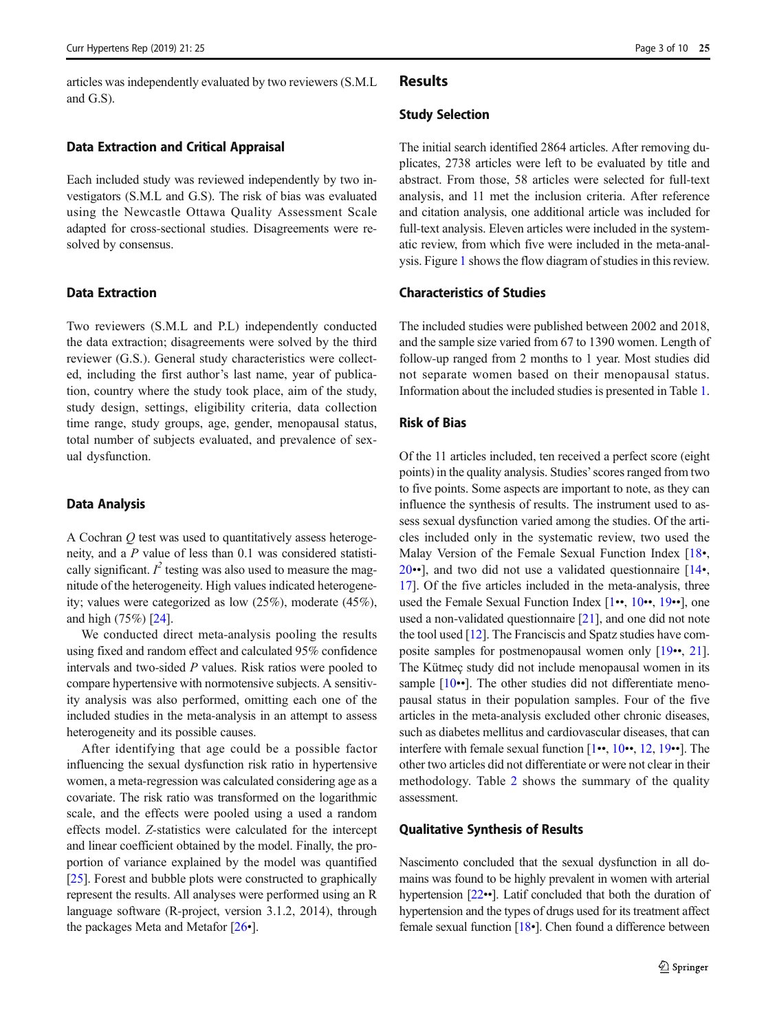articles was independently evaluated by two reviewers (S.M.L and G.S).

#### Data Extraction and Critical Appraisal

Each included study was reviewed independently by two investigators (S.M.L and G.S). The risk of bias was evaluated using the Newcastle Ottawa Quality Assessment Scale adapted for cross-sectional studies. Disagreements were resolved by consensus.

#### Data Extraction

Two reviewers (S.M.L and P.L) independently conducted the data extraction; disagreements were solved by the third reviewer (G.S.). General study characteristics were collected, including the first author's last name, year of publication, country where the study took place, aim of the study, study design, settings, eligibility criteria, data collection time range, study groups, age, gender, menopausal status, total number of subjects evaluated, and prevalence of sexual dysfunction.

#### Data Analysis

A Cochran  $Q$  test was used to quantitatively assess heterogeneity, and a P value of less than 0.1 was considered statistically significant.  $I^2$  testing was also used to measure the magnitude of the heterogeneity. High values indicated heterogeneity; values were categorized as low (25%), moderate (45%), and high (75%) [[24](#page-9-0)].

We conducted direct meta-analysis pooling the results using fixed and random effect and calculated 95% confidence intervals and two-sided  $P$  values. Risk ratios were pooled to compare hypertensive with normotensive subjects. A sensitivity analysis was also performed, omitting each one of the included studies in the meta-analysis in an attempt to assess heterogeneity and its possible causes.

After identifying that age could be a possible factor influencing the sexual dysfunction risk ratio in hypertensive women, a meta-regression was calculated considering age as a covariate. The risk ratio was transformed on the logarithmic scale, and the effects were pooled using a used a random effects model. Z-statistics were calculated for the intercept and linear coefficient obtained by the model. Finally, the proportion of variance explained by the model was quantified [\[25\]](#page-9-0). Forest and bubble plots were constructed to graphically represent the results. All analyses were performed using an R language software (R-project, version 3.1.2, 2014), through the packages Meta and Metafor [[26](#page-9-0)•].

#### Results

#### Study Selection

The initial search identified 2864 articles. After removing duplicates, 2738 articles were left to be evaluated by title and abstract. From those, 58 articles were selected for full-text analysis, and 11 met the inclusion criteria. After reference and citation analysis, one additional article was included for full-text analysis. Eleven articles were included in the systematic review, from which five were included in the meta-analysis. Figure [1](#page-3-0) shows the flow diagram of studies in this review.

#### Characteristics of Studies

The included studies were published between 2002 and 2018, and the sample size varied from 67 to 1390 women. Length of follow-up ranged from 2 months to 1 year. Most studies did not separate women based on their menopausal status. Information about the included studies is presented in Table [1.](#page-4-0)

#### Risk of Bias

Of the 11 articles included, ten received a perfect score (eight points) in the quality analysis. Studies'scores ranged from two to five points. Some aspects are important to note, as they can influence the synthesis of results. The instrument used to assess sexual dysfunction varied among the studies. Of the articles included only in the systematic review, two used the Malay Version of the Female Sexual Function Index [\[18](#page-9-0)•,  $20$ ••], and two did not use a validated questionnaire  $[14$ •, [17\]](#page-9-0). Of the five articles included in the meta-analysis, three used the Female Sexual Function Index  $[1\bullet 0, 10\bullet 0, 19\bullet 0]$  $[1\bullet 0, 10\bullet 0, 19\bullet 0]$  $[1\bullet 0, 10\bullet 0, 19\bullet 0]$  $[1\bullet 0, 10\bullet 0, 19\bullet 0]$  $[1\bullet 0, 10\bullet 0, 19\bullet 0]$  $[1\bullet 0, 10\bullet 0, 19\bullet 0]$ , one used a non-validated questionnaire [[21](#page-9-0)], and one did not note the tool used [\[12\]](#page-9-0). The Franciscis and Spatz studies have composite samples for postmenopausal women only [\[19](#page-9-0)••, [21\]](#page-9-0). The Kütmeç study did not include menopausal women in its sample [\[10](#page-8-0)••]. The other studies did not differentiate menopausal status in their population samples. Four of the five articles in the meta-analysis excluded other chronic diseases, such as diabetes mellitus and cardiovascular diseases, that can interfere with female sexual function [\[1](#page-8-0)••, [10](#page-8-0)••, [12](#page-9-0), [19](#page-9-0)••]. The other two articles did not differentiate or were not clear in their methodology. Table [2](#page-5-0) shows the summary of the quality assessment.

#### Qualitative Synthesis of Results

Nascimento concluded that the sexual dysfunction in all domains was found to be highly prevalent in women with arterial hypertension [\[22](#page-9-0)••]. Latif concluded that both the duration of hypertension and the types of drugs used for its treatment affect female sexual function [[18](#page-9-0)•]. Chen found a difference between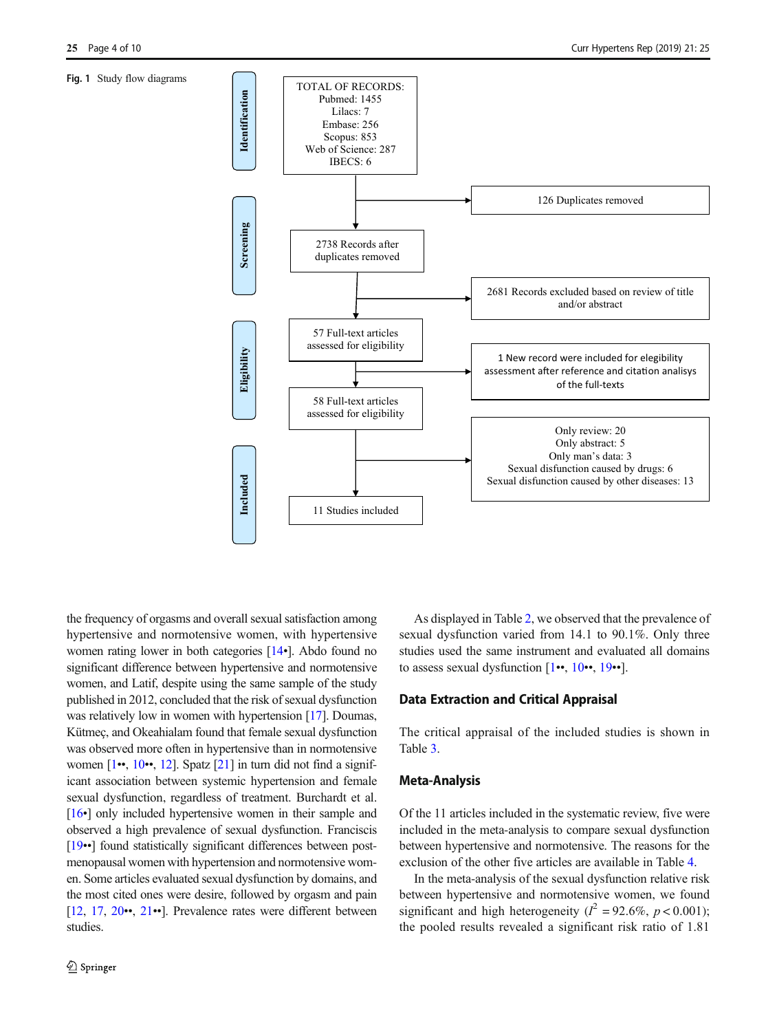<span id="page-3-0"></span>

the frequency of orgasms and overall sexual satisfaction among hypertensive and normotensive women, with hypertensive women rating lower in both categories [[14](#page-9-0)•]. Abdo found no significant difference between hypertensive and normotensive women, and Latif, despite using the same sample of the study published in 2012, concluded that the risk of sexual dysfunction was relatively low in women with hypertension [\[17\]](#page-9-0). Doumas, Kütmeç, and Okeahialam found that female sexual dysfunction was observed more often in hypertensive than in normotensive women  $[1\bullet, 10\bullet, 12]$  $[1\bullet, 10\bullet, 12]$  $[1\bullet, 10\bullet, 12]$  $[1\bullet, 10\bullet, 12]$  $[1\bullet, 10\bullet, 12]$  $[1\bullet, 10\bullet, 12]$ . Spatz  $[21]$  $[21]$  in turn did not find a significant association between systemic hypertension and female sexual dysfunction, regardless of treatment. Burchardt et al. [\[16](#page-9-0)•] only included hypertensive women in their sample and observed a high prevalence of sexual dysfunction. Franciscis [\[19](#page-9-0)••] found statistically significant differences between postmenopausal women with hypertension and normotensive women. Some articles evaluated sexual dysfunction by domains, and the most cited ones were desire, followed by orgasm and pain [\[12,](#page-9-0) [17](#page-9-0), [20](#page-9-0)••, [21](#page-9-0)••]. Prevalence rates were different between studies.

As displayed in Table [2](#page-5-0), we observed that the prevalence of sexual dysfunction varied from 14.1 to 90.1%. Only three studies used the same instrument and evaluated all domains to assess sexual dysfunction  $[1\bullet 0, 10\bullet 0, 19\bullet 0]$  $[1\bullet 0, 10\bullet 0, 19\bullet 0]$  $[1\bullet 0, 10\bullet 0, 19\bullet 0]$  $[1\bullet 0, 10\bullet 0, 19\bullet 0]$  $[1\bullet 0, 10\bullet 0, 19\bullet 0]$  $[1\bullet 0, 10\bullet 0, 19\bullet 0]$ .

#### Data Extraction and Critical Appraisal

The critical appraisal of the included studies is shown in Table [3](#page-5-0).

#### Meta-Analysis

Of the 11 articles included in the systematic review, five were included in the meta-analysis to compare sexual dysfunction between hypertensive and normotensive. The reasons for the exclusion of the other five articles are available in Table [4](#page-6-0).

In the meta-analysis of the sexual dysfunction relative risk between hypertensive and normotensive women, we found significant and high heterogeneity ( $l^2 = 92.6\%$ ,  $p < 0.001$ ); the pooled results revealed a significant risk ratio of 1.81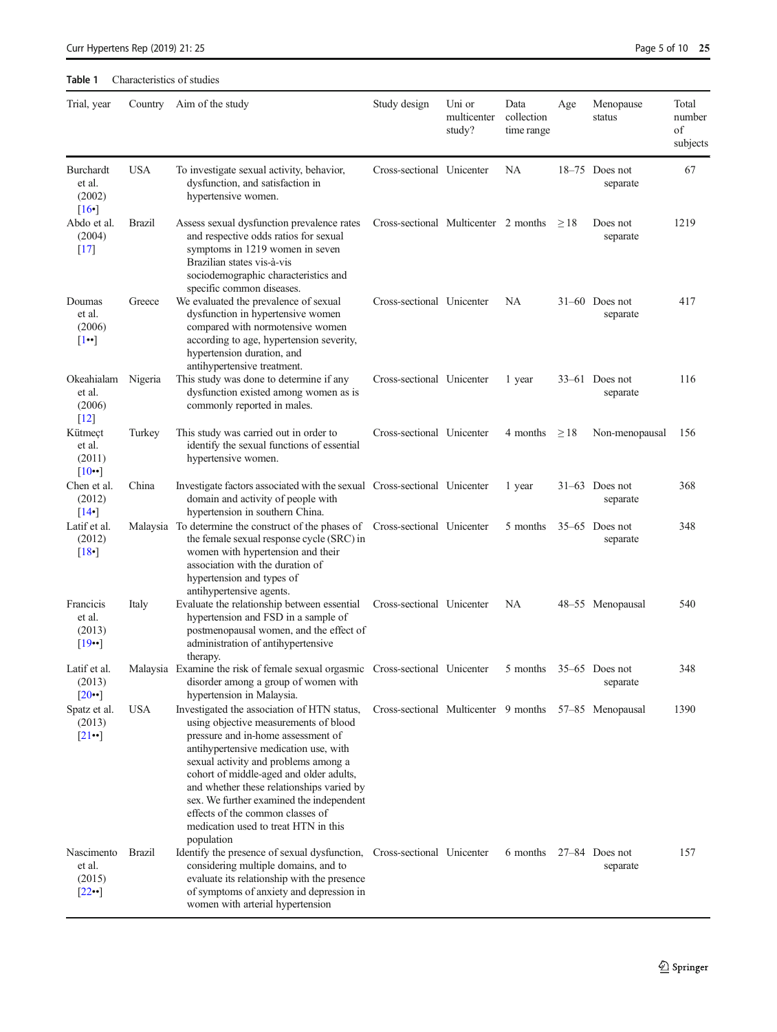<span id="page-4-0"></span>Table 1 Characteristics of studies

#### Trial, year Country Aim of the study Study design Uni or multicenter study? Data collection time range Age Menopause status Total number of subjects Burchardt et al. (2002)  $[16•]$  $[16•]$ USA To investigate sexual activity, behavior, dysfunction, and satisfaction in hypertensive women. Cross-sectional Unicenter NA 18–75 Does not separate 67 Abdo et al. (2004) [\[17](#page-9-0)] Brazil Assess sexual dysfunction prevalence rates and respective odds ratios for sexual symptoms in 1219 women in seven Brazilian states vis-à-vis sociodemographic characteristics and specific common diseases. Cross-sectional Multicenter 2 months  $\geq 18$  Does not separate 1219 Doumas et al. (2006) [\[1](#page-8-0)••] Greece We evaluated the prevalence of sexual dysfunction in hypertensive women compared with normotensive women according to age, hypertension severity, hypertension duration, and antihypertensive treatment. Cross-sectional Unicenter NA 31–60 Does not separate 417 Okeahialam et al. (2006) [\[12](#page-9-0)] This study was done to determine if any dysfunction existed among women as is commonly reported in males. Cross-sectional Unicenter 1 year 33–61 Does not separate 116 Kütmeçt et al. (2011)  $[10•]$  $[10•]$ Turkey This study was carried out in order to identify the sexual functions of essential hypertensive women. Cross-sectional Unicenter 4 months ≥ 18 Non-menopausal 156 Chen et al. (2012) [\[14](#page-9-0)•] China Investigate factors associated with the sexual Cross-sectional Unicenter 1 year 31–63 Does not domain and activity of people with hypertension in southern China. separate 368 Latif et al. (2012)  $[18•]$  $[18•]$ Malaysia To determine the construct of the phases of Cross-sectional Unicenter 5 months 35–65 Does not the female sexual response cycle (SRC) in women with hypertension and their association with the duration of hypertension and types of antihypertensive agents. separate 348 Francicis et al. (2013) [\[19](#page-9-0)••] Italy Evaluate the relationship between essential hypertension and FSD in a sample of postmenopausal women, and the effect of administration of antihypertensive therapy. Cross-sectional Unicenter NA 48–55 Menopausal 540 Latif et al. (2013) [\[20](#page-9-0)••] Malaysia Examine the risk of female sexual orgasmic Cross-sectional Unicenter 5 months 35–65 Does not disorder among a group of women with hypertension in Malaysia. separate 348 Spatz et al. (2013)  $[21 \cdot \cdot]$  $[21 \cdot \cdot]$ USA Investigated the association of HTN status, using objective measurements of blood pressure and in-home assessment of antihypertensive medication use, with sexual activity and problems among a cohort of middle-aged and older adults, and whether these relationships varied by sex. We further examined the independent effects of the common classes of medication used to treat HTN in this population Cross-sectional Multicenter 9 months 57–85 Menopausal 1390 Nascimento et al. (2015) [\[22](#page-9-0)••] Brazil Identify the presence of sexual dysfunction, Cross-sectional Unicenter 6 months 27–84 Does not considering multiple domains, and to evaluate its relationship with the presence of symptoms of anxiety and depression in women with arterial hypertension separate 157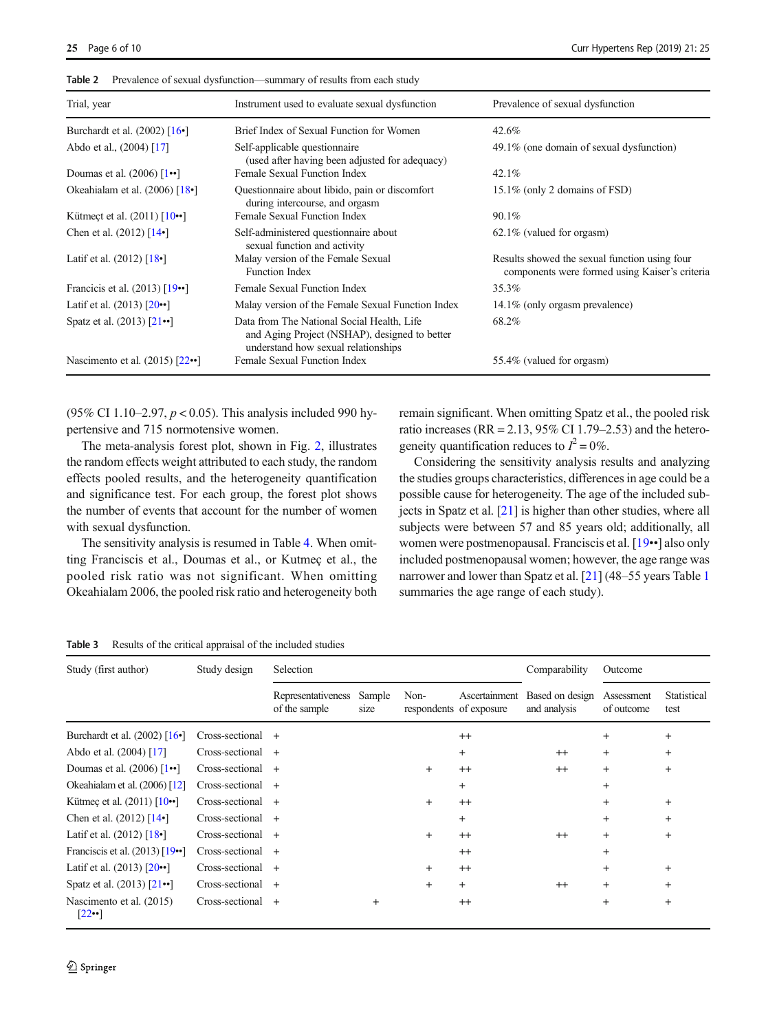| Trial, year<br>Instrument used to evaluate sexual dysfunction |                                                                                                                                    | Prevalence of sexual dysfunction                                                                |  |
|---------------------------------------------------------------|------------------------------------------------------------------------------------------------------------------------------------|-------------------------------------------------------------------------------------------------|--|
| Burchardt et al. $(2002)$ [16 $\cdot$ ]                       | Brief Index of Sexual Function for Women                                                                                           | 42.6%                                                                                           |  |
| Abdo et al., (2004) [17]                                      | Self-applicable questionnaire<br>(used after having been adjusted for adequacy)                                                    | 49.1% (one domain of sexual dysfunction)                                                        |  |
| Doumas et al. $(2006)$ $[1]$                                  | Female Sexual Function Index                                                                                                       | $42.1\%$                                                                                        |  |
| Okeahialam et al. (2006) [18•]                                | Questionnaire about libido, pain or discomfort<br>during intercourse, and orgasm                                                   | 15.1% (only 2 domains of FSD)                                                                   |  |
| Kütmeçt et al. (2011) [10.                                    | Female Sexual Function Index                                                                                                       | $90.1\%$                                                                                        |  |
| Chen et al. $(2012)$ [14•]                                    | Self-administered questionnaire about<br>sexual function and activity                                                              | $62.1\%$ (valued for orgasm)                                                                    |  |
| Latif et al. $(2012)$ $[18 \cdot]$                            | Malay version of the Female Sexual<br><b>Function Index</b>                                                                        | Results showed the sexual function using four<br>components were formed using Kaiser's criteria |  |
| Francicis et al. $(2013)$ [19]                                | Female Sexual Function Index                                                                                                       | 35.3%                                                                                           |  |
| Latif et al. $(2013)$ $[20 \cdot \cdot]$                      | Malay version of the Female Sexual Function Index                                                                                  | 14.1% (only orgasm prevalence)                                                                  |  |
| Spatz et al. $(2013)$ $[21 \cdot$ <sup>-1</sup> ]             | Data from The National Social Health, Life<br>and Aging Project (NSHAP), designed to better<br>understand how sexual relationships | 68.2%                                                                                           |  |
| Nascimento et al. $(2015)$ $[22 \cdot$ <sup>-1</sup>          | Female Sexual Function Index                                                                                                       | 55.4% (valued for orgasm)                                                                       |  |

<span id="page-5-0"></span>Table 2 Prevalence of sexual dysfunction—summary of results from each study

(95% CI 1.10–2.97,  $p < 0.05$ ). This analysis included 990 hypertensive and 715 normotensive women.

The meta-analysis forest plot, shown in Fig. [2](#page-6-0), illustrates the random effects weight attributed to each study, the random effects pooled results, and the heterogeneity quantification and significance test. For each group, the forest plot shows the number of events that account for the number of women with sexual dysfunction.

The sensitivity analysis is resumed in Table [4.](#page-6-0) When omitting Franciscis et al., Doumas et al., or Kutmeç et al., the pooled risk ratio was not significant. When omitting Okeahialam 2006, the pooled risk ratio and heterogeneity both remain significant. When omitting Spatz et al., the pooled risk ratio increases (RR =  $2.13$ , 95% CI 1.79–2.53) and the heterogeneity quantification reduces to  $I^2 = 0\%$ .

Considering the sensitivity analysis results and analyzing the studies groups characteristics, differences in age could be a possible cause for heterogeneity. The age of the included subjects in Spatz et al. [\[21](#page-9-0)] is higher than other studies, where all subjects were between 57 and 85 years old; additionally, all women were postmenopausal. Franciscis et al. [\[19](#page-9-0)••] also only included postmenopausal women; however, the age range was narrower and lower than Spatz et al. [[21\]](#page-9-0) (48–55 years Table [1](#page-4-0) summaries the age range of each study).

Table 3 Results of the critical appraisal of the included studies

| Study (first author)                          | Study design        | Selection                           |                |           | Comparability                            | Outcome                         |                          |                     |
|-----------------------------------------------|---------------------|-------------------------------------|----------------|-----------|------------------------------------------|---------------------------------|--------------------------|---------------------|
|                                               |                     | Representativeness<br>of the sample | Sample<br>size | Non-      | Ascertainment<br>respondents of exposure | Based on design<br>and analysis | Assessment<br>of outcome | Statistical<br>test |
| Burchardt et al. (2002) [16.]                 | Cross-sectional     | $+$                                 |                |           | $^{++}$                                  |                                 | $+$                      | $+$                 |
| Abdo et al. (2004) [17]                       | $Cross-sectional +$ |                                     |                |           | $+$                                      | $++$                            | $+$                      | $^{+}$              |
| Doumas et al. $(2006)$ $[1]$                  | Cross-sectional     | $+$                                 |                | $^{+}$    | $^{++}$                                  | $++$                            | $+$                      | $^{+}$              |
| Okeahialam et al. (2006) [12]                 | Cross-sectional     | $+$                                 |                |           | $\ddot{}$                                |                                 | $+$                      |                     |
| Kütmeç et al. (2011) [10.                     | Cross-sectional     | $+$                                 |                | $+$       | $^{++}$                                  |                                 | $+$                      | $+$                 |
| Chen et al. (2012) [14•]                      | Cross-sectional     | $+$                                 |                |           | $\ddot{}$                                |                                 | $^{+}$                   |                     |
| Latif et al. $(2012)$ $[18 \cdot]$            | Cross-sectional     | $+$                                 |                | $\ddot{}$ | $^{++}$                                  | $++$                            | $^{+}$                   | $^{+}$              |
| Franciscis et al. $(2013)$ [19 $\cdot\cdot$ ] | Cross-sectional     | $+$                                 |                |           | $^{++}$                                  |                                 | $^{+}$                   |                     |
| Latif et al. $(2013)$ $[20]$                  | Cross-sectional     | $+$                                 |                | $+$       | $^{++}$                                  |                                 | $^{+}$                   | $+$                 |
| Spatz et al. (2013) [21]                      | Cross-sectional     | $+$                                 |                | $^{+}$    | $^{+}$                                   | $^{++}$                         | $^{+}$                   | $\ddot{}$           |
| Nascimento et al. (2015)<br>$[22\bullet]$     | Cross-sectional     | $+$                                 | $\pm$          |           | $^{++}$                                  |                                 | $\ddot{}$                | $^{+}$              |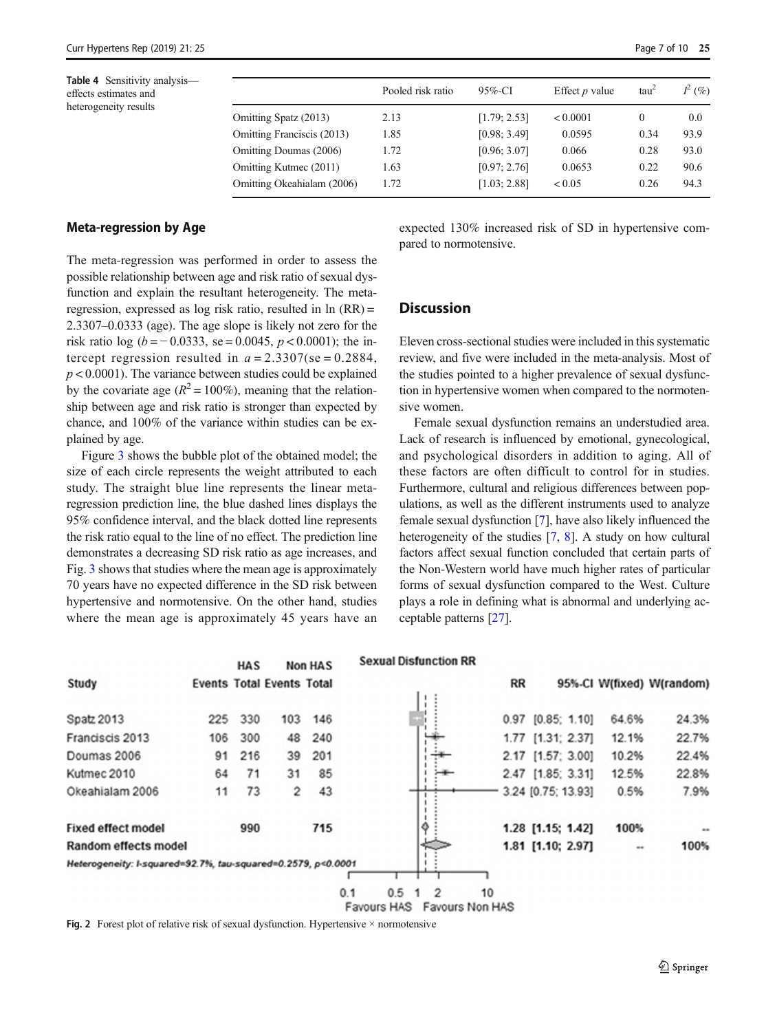<span id="page-6-0"></span>Table 4 Sensitivity analysiseffects estimates and heterogeneity results

|                            | Pooled risk ratio | $95\%$ -CI   | Effect $p$ value | $tau^2$  | $I^2$ (%) |
|----------------------------|-------------------|--------------|------------------|----------|-----------|
| Omitting Spatz (2013)      | 2.13              | [1.79; 2.53] | < 0.0001         | $\theta$ | 0.0       |
| Omitting Franciscis (2013) | 1.85              | [0.98; 3.49] | 0.0595           | 0.34     | 93.9      |
| Omitting Doumas (2006)     | 1.72              | [0.96; 3.07] | 0.066            | 0.28     | 93.0      |
| Omitting Kutmec (2011)     | 1.63              | [0.97; 2.76] | 0.0653           | 0.22     | 90.6      |
| Omitting Okeahialam (2006) | 1.72              | [1.03; 2.88] | < 0.05           | 0.26     | 94.3      |

#### Meta-regression by Age

The meta-regression was performed in order to assess the possible relationship between age and risk ratio of sexual dysfunction and explain the resultant heterogeneity. The metaregression, expressed as log risk ratio, resulted in ln (RR) = 2.3307–0.0333 (age). The age slope is likely not zero for the risk ratio log ( $b = -0.0333$ , se = 0.0045,  $p < 0.0001$ ); the intercept regression resulted in  $a = 2.3307$ (se = 0.2884,  $p < 0.0001$ ). The variance between studies could be explained by the covariate age ( $R^2 = 100\%$ ), meaning that the relationship between age and risk ratio is stronger than expected by chance, and 100% of the variance within studies can be explained by age.

Figure [3](#page-7-0) shows the bubble plot of the obtained model; the size of each circle represents the weight attributed to each study. The straight blue line represents the linear metaregression prediction line, the blue dashed lines displays the 95% confidence interval, and the black dotted line represents the risk ratio equal to the line of no effect. The prediction line demonstrates a decreasing SD risk ratio as age increases, and Fig. [3](#page-7-0) shows that studies where the mean age is approximately 70 years have no expected difference in the SD risk between hypertensive and normotensive. On the other hand, studies where the mean age is approximately 45 years have an expected 130% increased risk of SD in hypertensive compared to normotensive.

#### **Discussion**

Eleven cross-sectional studies were included in this systematic review, and five were included in the meta-analysis. Most of the studies pointed to a higher prevalence of sexual dysfunction in hypertensive women when compared to the normotensive women.

Female sexual dysfunction remains an understudied area. Lack of research is influenced by emotional, gynecological, and psychological disorders in addition to aging. All of these factors are often difficult to control for in studies. Furthermore, cultural and religious differences between populations, as well as the different instruments used to analyze female sexual dysfunction [\[7](#page-8-0)], have also likely influenced the heterogeneity of the studies [[7,](#page-8-0) [8\]](#page-8-0). A study on how cultural factors affect sexual function concluded that certain parts of the Non-Western world have much higher rates of particular forms of sexual dysfunction compared to the West. Culture plays a role in defining what is abnormal and underlying acceptable patterns [\[27\]](#page-9-0).



Fig. 2 Forest plot of relative risk of sexual dysfunction. Hypertensive  $\times$  normotensive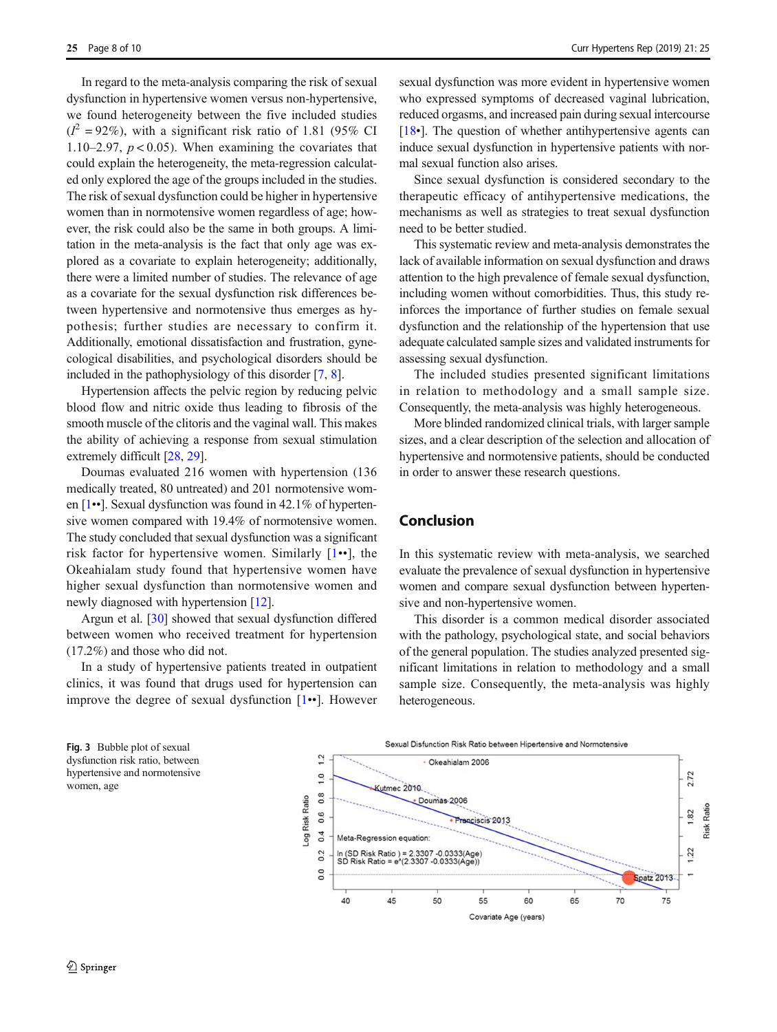<span id="page-7-0"></span>In regard to the meta-analysis comparing the risk of sexual dysfunction in hypertensive women versus non-hypertensive, we found heterogeneity between the five included studies  $(I^2 = 92\%)$ , with a significant risk ratio of 1.81 (95% CI 1.10–2.97,  $p < 0.05$ ). When examining the covariates that could explain the heterogeneity, the meta-regression calculated only explored the age of the groups included in the studies. The risk of sexual dysfunction could be higher in hypertensive women than in normotensive women regardless of age; however, the risk could also be the same in both groups. A limitation in the meta-analysis is the fact that only age was explored as a covariate to explain heterogeneity; additionally, there were a limited number of studies. The relevance of age as a covariate for the sexual dysfunction risk differences between hypertensive and normotensive thus emerges as hypothesis; further studies are necessary to confirm it. Additionally, emotional dissatisfaction and frustration, gynecological disabilities, and psychological disorders should be included in the pathophysiology of this disorder [[7,](#page-8-0) [8\]](#page-8-0).

Hypertension affects the pelvic region by reducing pelvic blood flow and nitric oxide thus leading to fibrosis of the smooth muscle of the clitoris and the vaginal wall. This makes the ability of achieving a response from sexual stimulation extremely difficult [[28](#page-9-0), [29](#page-9-0)].

Doumas evaluated 216 women with hypertension (136 medically treated, 80 untreated) and 201 normotensive women [[1](#page-8-0)••]. Sexual dysfunction was found in 42.1% of hypertensive women compared with 19.4% of normotensive women. The study concluded that sexual dysfunction was a significant risk factor for hypertensive women. Similarly [[1](#page-8-0)••], the Okeahialam study found that hypertensive women have higher sexual dysfunction than normotensive women and newly diagnosed with hypertension [\[12\]](#page-9-0).

Argun et al. [[30\]](#page-9-0) showed that sexual dysfunction differed between women who received treatment for hypertension (17.2%) and those who did not.

In a study of hypertensive patients treated in outpatient clinics, it was found that drugs used for hypertension can improve the degree of sexual dysfunction [[1](#page-8-0)••]. However sexual dysfunction was more evident in hypertensive women who expressed symptoms of decreased vaginal lubrication, reduced orgasms, and increased pain during sexual intercourse  $[18\bullet]$  $[18\bullet]$ . The question of whether antihypertensive agents can induce sexual dysfunction in hypertensive patients with normal sexual function also arises.

Since sexual dysfunction is considered secondary to the therapeutic efficacy of antihypertensive medications, the mechanisms as well as strategies to treat sexual dysfunction need to be better studied.

This systematic review and meta-analysis demonstrates the lack of available information on sexual dysfunction and draws attention to the high prevalence of female sexual dysfunction, including women without comorbidities. Thus, this study reinforces the importance of further studies on female sexual dysfunction and the relationship of the hypertension that use adequate calculated sample sizes and validated instruments for assessing sexual dysfunction.

The included studies presented significant limitations in relation to methodology and a small sample size. Consequently, the meta-analysis was highly heterogeneous.

More blinded randomized clinical trials, with larger sample sizes, and a clear description of the selection and allocation of hypertensive and normotensive patients, should be conducted in order to answer these research questions.

## Conclusion

In this systematic review with meta-analysis, we searched evaluate the prevalence of sexual dysfunction in hypertensive women and compare sexual dysfunction between hypertensive and non-hypertensive women.

This disorder is a common medical disorder associated with the pathology, psychological state, and social behaviors of the general population. The studies analyzed presented significant limitations in relation to methodology and a small sample size. Consequently, the meta-analysis was highly heterogeneous.

Fig. 3 Bubble plot of sexual dysfunction risk ratio, between hypertensive and normotensive women, age

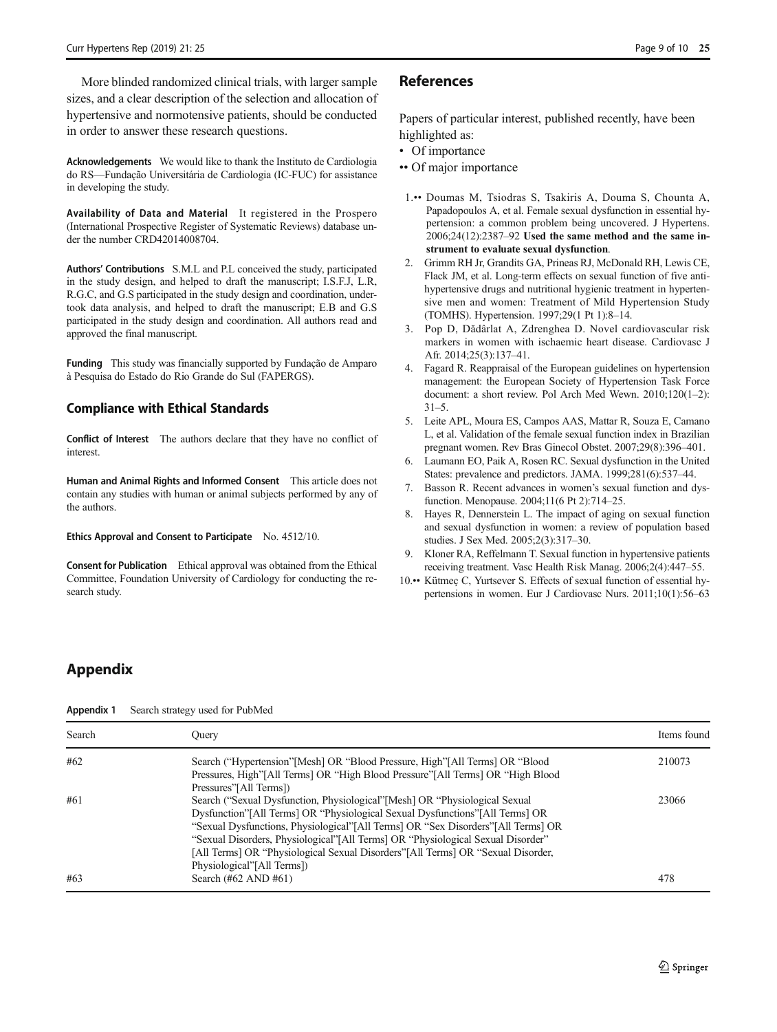<span id="page-8-0"></span>More blinded randomized clinical trials, with larger sample sizes, and a clear description of the selection and allocation of hypertensive and normotensive patients, should be conducted in order to answer these research questions.

Acknowledgements We would like to thank the Instituto de Cardiologia do RS—Fundação Universitária de Cardiologia (IC-FUC) for assistance in developing the study.

Availability of Data and Material It registered in the Prospero (International Prospective Register of Systematic Reviews) database under the number CRD42014008704.

Authors' Contributions S.M.L and P.L conceived the study, participated in the study design, and helped to draft the manuscript; I.S.F.J, L.R, R.G.C, and G.S participated in the study design and coordination, undertook data analysis, and helped to draft the manuscript; E.B and G.S participated in the study design and coordination. All authors read and approved the final manuscript.

Funding This study was financially supported by Fundação de Amparo à Pesquisa do Estado do Rio Grande do Sul (FAPERGS).

### Compliance with Ethical Standards

Conflict of Interest The authors declare that they have no conflict of interest.

Human and Animal Rights and Informed Consent This article does not contain any studies with human or animal subjects performed by any of the authors.

#### Ethics Approval and Consent to Participate No. 4512/10.

Consent for Publication Ethical approval was obtained from the Ethical Committee, Foundation University of Cardiology for conducting the research study.

#### References

Papers of particular interest, published recently, have been highlighted as:

- Of importance
- •• Of major importance
- 1.•• Doumas M, Tsiodras S, Tsakiris A, Douma S, Chounta A, Papadopoulos A, et al. Female sexual dysfunction in essential hypertension: a common problem being uncovered. J Hypertens. 2006;24(12):2387–92 Used the same method and the same instrument to evaluate sexual dysfunction.
- 2. Grimm RH Jr, Grandits GA, Prineas RJ, McDonald RH, Lewis CE, Flack JM, et al. Long-term effects on sexual function of five antihypertensive drugs and nutritional hygienic treatment in hypertensive men and women: Treatment of Mild Hypertension Study (TOMHS). Hypertension. 1997;29(1 Pt 1):8–14.
- 3. Pop D, Dădârlat A, Zdrenghea D. Novel cardiovascular risk markers in women with ischaemic heart disease. Cardiovasc J Afr. 2014;25(3):137–41.
- 4. Fagard R. Reappraisal of the European guidelines on hypertension management: the European Society of Hypertension Task Force document: a short review. Pol Arch Med Wewn. 2010;120(1–2):  $31–5.$
- 5. Leite APL, Moura ES, Campos AAS, Mattar R, Souza E, Camano L, et al. Validation of the female sexual function index in Brazilian pregnant women. Rev Bras Ginecol Obstet. 2007;29(8):396–401.
- 6. Laumann EO, Paik A, Rosen RC. Sexual dysfunction in the United States: prevalence and predictors. JAMA. 1999;281(6):537–44.
- 7. Basson R. Recent advances in women's sexual function and dysfunction. Menopause. 2004;11(6 Pt 2):714–25.
- 8. Hayes R, Dennerstein L. The impact of aging on sexual function and sexual dysfunction in women: a review of population based studies. J Sex Med. 2005;2(3):317–30.
- 9. Kloner RA, Reffelmann T. Sexual function in hypertensive patients receiving treatment. Vasc Health Risk Manag. 2006;2(4):447–55.
- 10.•• Kütmeç C, Yurtsever S. Effects of sexual function of essential hypertensions in women. Eur J Cardiovasc Nurs. 2011;10(1):56–63

# Appendix

#### Appendix 1 Search strategy used for PubMed

| Search | Ouery                                                                                                                                                                                                                                                                                                                                                        | Items found |
|--------|--------------------------------------------------------------------------------------------------------------------------------------------------------------------------------------------------------------------------------------------------------------------------------------------------------------------------------------------------------------|-------------|
| #62    | Search ("Hypertension" [Mesh] OR "Blood Pressure, High" [All Terms] OR "Blood<br>Pressures, High''[All Terms] OR "High Blood Pressure"[All Terms] OR "High Blood                                                                                                                                                                                             | 210073      |
| #61    | Pressures"[All Terms])<br>Search ("Sexual Dysfunction, Physiological" [Mesh] OR "Physiological Sexual<br>Dysfunction"[All Terms] OR "Physiological Sexual Dysfunctions"[All Terms] OR<br>"Sexual Dysfunctions, Physiological"[All Terms] OR "Sex Disorders"[All Terms] OR<br>"Sexual Disorders, Physiological"[All Terms] OR "Physiological Sexual Disorder" | 23066       |
|        | [All Terms] OR "Physiological Sexual Disorders" [All Terms] OR "Sexual Disorder,<br>Physiological"[All Terms])                                                                                                                                                                                                                                               |             |
| #63    | Search $(\#62 \text{ AND } \#61)$                                                                                                                                                                                                                                                                                                                            | 478         |